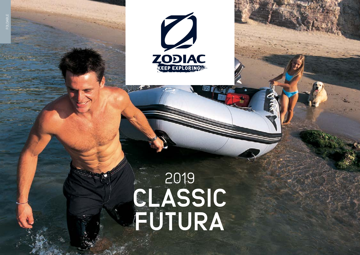

FOLDABLE

# 2019 **CLASSIC FUTURA**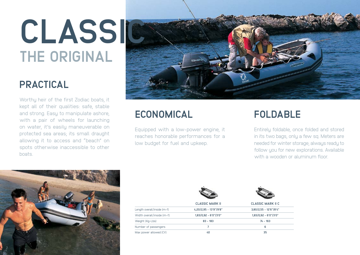# **THE ORIGINAL CLASSIC**

### **PRACTICAL**

Worthy heir of the first Zodiac boats, it kept all of their qualities: safe, stable and strong. Easy to manipulate ashore, with a pair of wheels for launching on water, it's easily maneuverable on protected sea areas; its small draught allowing it to access and "beach" on spots otherwise inaccessible to other boats.



## **ECONOMICAL**

Equipped with a low-power engine, it reaches honorable performances for a low budget for fuel and upkeep.

## **FOLDABLE**

Entirely foldable, once folded and stored in its two bags, only a few sq. Meters are needed for winter storage; always ready to follow you for new explorations. Available with a wooden or aluminum floor.



|                             | <b>CLASSIC MARK II</b> | <b>CLASSIC MARK II C</b> |
|-----------------------------|------------------------|--------------------------|
| Length overall/inside (m-f) | 4,20/2,95 - 13'9"/9'8" | 3,80/2,55 - 12'6"/8'4"   |
| Width overall/inside (m-f)  | 1,83/0,92 - 6'0"/3'0"  | 1,83/0,92 - 6'0"/3'0"    |
| Weight (Kg-Lbs)             | $83 - 183$             | $74 - 163$               |
| Number of passengers        | 7                      | 6                        |
| Max power allowed (CV)      | 40                     | 35                       |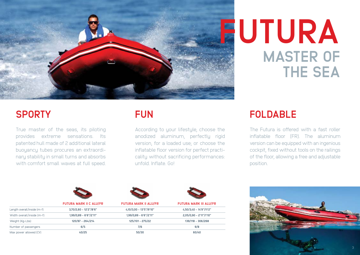

#### **SPORTY**

True master of the seas, its piloting provides extreme sensations. Its patented hull made of 2 additional lateral buoyancy tubes procures an extraordinary stability in small turns and absorbs with comfort small waves at full speed.

#### **FUN**

According to your lifestyle, choose the anodized aluminum, perfectly rigid version, for a loaded use; or choose the inflatable floor version for perfect practicality without sacrificing performances: unfold. Inflate. Go!

# **MASTER OF THE SEA FUTURA**

#### **FOLDABLE**

The Futura is offered with a fast roller inflatable floor (FR). The aluminum version can be equipped with an ingenious cockpit, fixed without tools on the railings of the floor, allowing a free and adjustable position.

|                             | <b>FUTURA MARK II C ALU/FR</b> | <b>FUTURA MARK II ALU/FR</b> | <b>FUTURA MARK III ALU/FR</b> |
|-----------------------------|--------------------------------|------------------------------|-------------------------------|
| Length overall/inside (m-f) | $3,70/2,60 - 12'2''/8'6''$     | 4,10/3,00 - 13'5"/9'10"      | 4,50/3,40 - 14'9"/11'2"       |
| Width overall/inside (m-f)  | 1,99/0,89 - 6'6"/2'11"         | 1,99/0,89 - 6'6"/2'11"       | 2,05/0,90 - 2'11"/1'10"       |
| Weight (Kg-Lbs)             | 120/97 - 264/214               | 125/101 - 275/22             | 139/118 - 306/268             |
| Number of passengers        | 6/5                            | 7/6                          | 9/8                           |
| Max power allowed (CV)      | 40/25                          | 50/30                        | 60/40                         |